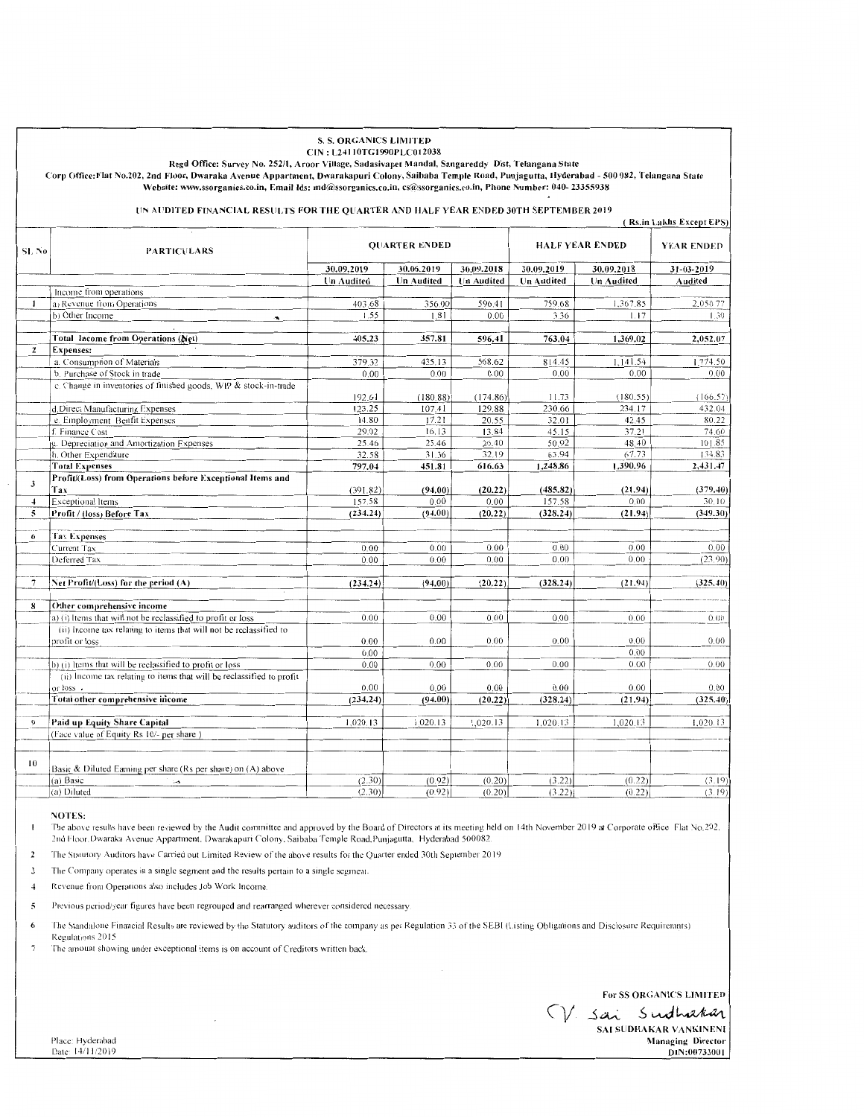### **S. S. ORGANICS LIMITED** CIN: L24110TG1990PLC012038

Regd Office: Survey No. 252/1, Aroor Village, Sadasivapet Mandal, Sangareddy Dist, Telangana State

Corp Office: Flat No.202, 2nd Floor, Dwaraka Avenue Appartment, Dwarakapuri Colony, Saibaba Temple Road, Punjagutta, Hyderabad - 500 082, Telangana State Website: www.ssorganics.co.in, Email Ids: md@ssorganics.co.in, cs@ssorganics.co.in, Phone Number: 040-23355938

#### UN AUDITED FINANCIAL RESULTS FOR THE QUARTER AND HALF YEAR ENDED 30TH SEPTEMBER 2019 (Rs in Lakhs Excent FPS)

| SL No                   | <b>PARTICULARS</b>                                                    | <b>QUARTER ENDED</b> |            |                   | <b>HALF YEAR ENDED</b> |            | <b>YEAR ENDED</b> |
|-------------------------|-----------------------------------------------------------------------|----------------------|------------|-------------------|------------------------|------------|-------------------|
|                         |                                                                       | 30.09.2019           | 30.06.2019 | 30.09.2018        | 30.09.2019             | 30.09.2018 | 31-03-2019        |
|                         |                                                                       | Un Audited           | Un Audited | <b>Un Audited</b> | <b>Un Audited</b>      | Un Audited | Audited           |
|                         | Income from operations                                                |                      |            |                   |                        |            |                   |
| 1                       | a) Revenue from Operations                                            | 403.68               | 356.00     | 596.41            | 759.68                 | 1,367.85   | 2,050.77          |
|                         | b) Other Income                                                       | 1.55                 | 1.81       | 0.00              | 3.36                   | 1.17       | 1.30              |
|                         |                                                                       |                      |            |                   |                        |            |                   |
|                         | Total Income from Operations (Net)                                    | 405.23               | 357.81     | 596.41            | 763.04                 | 1,369.02   | 2,052.07          |
| $\overline{2}$          | <b>Expenses:</b>                                                      |                      |            |                   |                        |            |                   |
|                         | a. Consumption of Materials                                           | 379.32               | 435.13     | 568.62            | 814.45                 | 1,141.54   | 1,774.50          |
|                         | b. Purchase of Stock in trade                                         | 0.00                 | 0.00       | 0.00              | 0.00                   | 0.00       | 0.00              |
|                         | c. Change in inventories of finished goods, WIP & stock-in-trade      |                      |            |                   |                        |            |                   |
|                         |                                                                       | 192.61               | (180.88)   | (174.86)          | 11.73                  | (180.55)   | (166.57)          |
|                         | d.Direct Manufacturing Expenses                                       | 123.25               | 107.41     | 129.88            | 230.66                 | 234.17     | 432.04            |
|                         | e. Employment Benfit Expenses                                         | 14.80                | 17.21      | 20.55             | 32.01                  | 42.45      | 80.22             |
|                         | f. Finance Cost                                                       | 29.02                | 16.13      | 13.84             | 45.15                  | 37.21      | 74.60             |
|                         | g. Depreciation and Amortization Expenses                             | 25.46                | 25.46      | 26.40             | 50.92                  | 48.40      | 101.85            |
|                         | h. Other Expenditure                                                  | 32.58                | 31.36      | 32.19             | 63.94                  | 67.73      | 134.83            |
|                         | <b>Total Expenses</b>                                                 | 797.04               | 451.81     | 616.63            | 1,248.86               | 1,390.96   | 2,431.47          |
| $\mathfrak{z}$          | Profit/(Loss) from Operations before Exceptional Items and<br>Tax     | (391.82)             | (94.00)    | (20.22)           | (485.82)               | (21.94)    | (379.40)          |
| $\overline{4}$          | Exceptional Items                                                     | 157.58               | 0.00       | 0.00              | 157.58                 | 0.00       | 30.10             |
| $\overline{\mathbf{5}}$ | Profit / (loss) Before Tax                                            | (234.24)             | (94.00)    | (20.22)           | (328.24)               | (21.94)    | (349.30)          |
|                         |                                                                       |                      |            |                   |                        |            |                   |
| 6                       | <b>Tax Expenses</b>                                                   |                      |            |                   |                        |            |                   |
|                         | Current Tax                                                           | 0.00                 | 0.00       | 0.00              | 0.00                   | 0.00       | 0.00              |
|                         | Deferred Tax                                                          | 0.00                 | 0.00       | 0.00              | 0.00                   | 0.00       | (23.90)           |
|                         |                                                                       |                      |            |                   |                        |            |                   |
| $\overline{7}$          | Net Profit/(Loss) for the period (A)                                  | (234.24)             | (94.00)    | (20.22)           | (328.24)               | (21.94)    | (325.40)          |
|                         |                                                                       |                      |            |                   |                        |            |                   |
| 8                       | Other comprehensive income                                            |                      |            |                   |                        |            |                   |
|                         | (a) (i) Items that will not be reclassified to profit or loss         | 0.00                 | 0.00       | 0.00              | 0.00                   | 0.00       | 0.00.             |
|                         | (ii) Income tax relating to items that will not be reclassified to    |                      |            |                   |                        |            |                   |
|                         | profit or loss                                                        | 0.00                 | 0.00       | 0.00              | 0.00                   | 0.00       | 0.00              |
|                         |                                                                       | 0.00                 |            |                   |                        | 0.00       |                   |
|                         | b) (i) Items that will be reclassified to profit or loss              | 0.00                 | 0.00       | 0.00              | 0.00                   | 0.00       | 0.00              |
|                         | (ii) Income tax relating to items that will be reclassified to profit |                      |            |                   |                        |            |                   |
|                         | or loss.                                                              | 0.00                 | 0.00       | 0.00              | 0.00                   | 0.00       | 0.00              |
|                         | Total other comprehensive income                                      | (234.24)             | (94.00)    | (20.22)           | (328.24)               | (21.94)    | (325.40)          |
|                         |                                                                       |                      |            |                   |                        |            |                   |
| $_{\odot}$              | Paid up Equity Share Capital                                          | 1,020.13             | 1,020.13   | 1,020.13          | 1,020.13               | 1,020.13   | 1,020.13          |
|                         | (Face value of Equity Rs 10/- per share)                              |                      |            |                   |                        |            |                   |
|                         |                                                                       |                      |            |                   |                        |            |                   |
| 10                      |                                                                       |                      |            |                   |                        |            |                   |
|                         | Basic & Diluted Earning per share (Rs per share) on (A) above         |                      |            |                   |                        |            |                   |
|                         | (a) Basic<br>.,                                                       | (2.30)               | (0.92)     | (0.20)            | (3.22)                 | (0.22)     | (3.19)            |
|                         | (a) Diluted                                                           | (2.30)               | (0.92)     | (0.20)            | (3.22)                 | (0.22)     | (3.19)            |

## **NOTES:**

The above results have been reviewed by the Audit committee and approved by the Board of Directors at its meeting held on 14th November 2019 at Corporate office Flat No.202, 2nd Floor. Dwaraka Avenue Appartment. Dwarakapuri Colony, Saibaba Temple Road. Punjagutta, Hyderabad 500082.

The Statutory Auditors have Carried out Limited Review of the above results for the Quarter ended 30th September 2019  $\overline{2}$ 

 $\mathbf{z}$ The Company operates in a single segment and the results pertain to a single segment.

Revenue from Operations also includes Job Work Income.  $\overline{4}$ 

 $\overline{5}$ Previous period/year figures have been regrouped and rearranged wherever considered necessary.

The Standalone Financial Results are reviewed by the Statutory auditors of the company as per Regulation 33 of the SEBI (Listing Obligations and Disclosure Requiremnts) 6 Regulations 2015

 $\overline{7}$ The amount showing under exceptional items is on account of Creditors written back.

For SS ORGANICS LIMITED

V. sai sudhakar SAI SUDHAKAR VANKINENI **Managing Director** DIN:00733001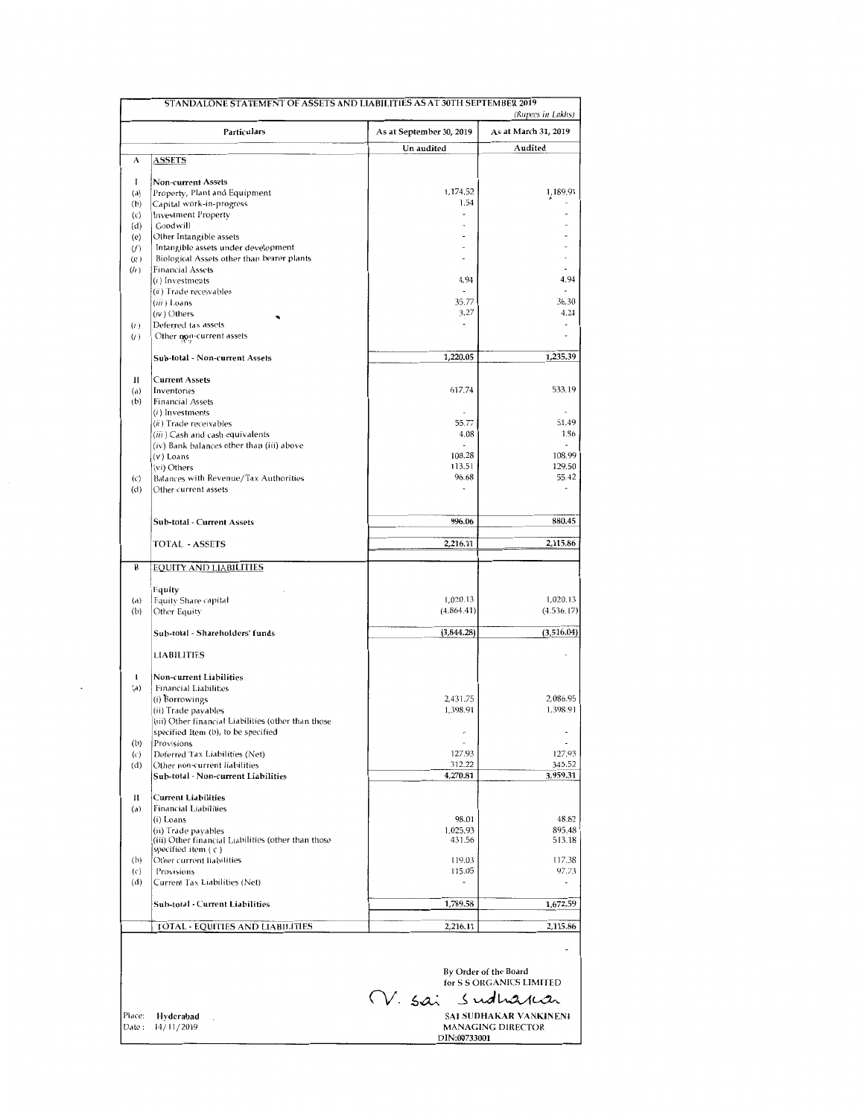| STANDALONE STATEMENT OF ASSETS AND LIABILITIES AS AT 30TH SEPTEMBER 2019 |                                                                                            |                          |                               |  |  |  |
|--------------------------------------------------------------------------|--------------------------------------------------------------------------------------------|--------------------------|-------------------------------|--|--|--|
|                                                                          |                                                                                            |                          | (Rupees in Lakhs)             |  |  |  |
|                                                                          | Particulars                                                                                | As at September 30, 2019 | As at March 31, 2019          |  |  |  |
| А                                                                        |                                                                                            | Un audited               | Audited                       |  |  |  |
|                                                                          | <u>ASSETS</u>                                                                              |                          |                               |  |  |  |
| 1                                                                        | <b>Non-current Assets</b>                                                                  |                          |                               |  |  |  |
| (a)                                                                      | Property, Plant and Equipment                                                              | 1,174.52<br>1.54         | 1,189.91                      |  |  |  |
| (b)<br>$\left( c\right)$                                                 | Capital work-in-progress<br><b>Investment Property</b>                                     | $\overline{a}$           |                               |  |  |  |
| (d)                                                                      | Goodwill                                                                                   |                          |                               |  |  |  |
| (e)                                                                      | Other Intangible assets                                                                    |                          |                               |  |  |  |
| (f)                                                                      | Intangible assets under development                                                        |                          |                               |  |  |  |
| (x)<br>(h)                                                               | Biological Assets other than bearer plants<br><b>Financial Assets</b>                      |                          |                               |  |  |  |
|                                                                          | (i) Investments                                                                            | 4.94                     | 4.94                          |  |  |  |
|                                                                          | $(ii)$ Trade receivables                                                                   |                          |                               |  |  |  |
|                                                                          | $(iii)$ Loans                                                                              | 35.77                    | 36.30                         |  |  |  |
| (i)                                                                      | $(iv)$ Others<br>Deferred tax assets                                                       | 3.27                     | 4.24                          |  |  |  |
| (i)                                                                      | Other non-current assets                                                                   |                          |                               |  |  |  |
|                                                                          |                                                                                            |                          |                               |  |  |  |
|                                                                          | Sub-total - Non-current Assets                                                             | 1,220.05                 | 1,235.39                      |  |  |  |
| П                                                                        | <b>Current Assets</b>                                                                      |                          |                               |  |  |  |
| (a)                                                                      | Inventories                                                                                | 617.74                   | 533.19                        |  |  |  |
| (b)                                                                      | <b>Financial Assets</b>                                                                    |                          |                               |  |  |  |
|                                                                          | $(i)$ Investments                                                                          |                          | 51.49                         |  |  |  |
|                                                                          | (ii) Trade receivables<br>(iii) Cash and cash equivalents                                  | 55.77<br>4.08            | 1.86                          |  |  |  |
|                                                                          | (iv) Bank balances other than (iii) above                                                  |                          |                               |  |  |  |
|                                                                          | $(v)$ Loans                                                                                | 108.28                   | 108.99                        |  |  |  |
|                                                                          | (vi) Others                                                                                | 113.51                   | 129.50                        |  |  |  |
| $\left(\mathbf{c}\right)$<br>(d)                                         | Balances with Revenue/Tax Authorities<br>Other current assets                              | 96.68                    | 55.42                         |  |  |  |
|                                                                          |                                                                                            |                          |                               |  |  |  |
|                                                                          |                                                                                            |                          |                               |  |  |  |
|                                                                          | Sub-total - Current Assets                                                                 | 996.06                   | 880.45                        |  |  |  |
|                                                                          | <b>TOTAL - ASSETS</b>                                                                      | 2,216.11                 | 2,115.86                      |  |  |  |
|                                                                          |                                                                                            |                          |                               |  |  |  |
| B                                                                        | <b>EQUITY AND LIABILITIES</b>                                                              |                          |                               |  |  |  |
|                                                                          | Equity                                                                                     |                          |                               |  |  |  |
| (a)                                                                      | Equity Share capital                                                                       | 1,020.13                 | 1,020.13                      |  |  |  |
| (b)                                                                      | Other Equity                                                                               | (4,864.41)               | (4,536.17)                    |  |  |  |
|                                                                          | Sub-total - Shareholders' funds                                                            | (3,844.28)               | (3,516.04)                    |  |  |  |
|                                                                          |                                                                                            |                          |                               |  |  |  |
|                                                                          | <b>LIABILITIES</b>                                                                         |                          |                               |  |  |  |
| I                                                                        | <b>Non-current Liabilities</b>                                                             |                          |                               |  |  |  |
| (a)                                                                      | <b>Financial Liabilities</b>                                                               |                          |                               |  |  |  |
|                                                                          | (i) Borrowings                                                                             | 2,431.75                 | 2,086.95                      |  |  |  |
|                                                                          | (ii) Trade payables                                                                        | 1,398.91                 | 1,398.91                      |  |  |  |
|                                                                          | (iii) Other financial Liabilities (other than those<br>specified Item (b), to be specified | $\overline{a}$           | $\overline{\phantom{a}}$      |  |  |  |
| (b)                                                                      | Provisions                                                                                 | $\overline{a}$           | $\overline{\phantom{a}}$      |  |  |  |
| (c)                                                                      | Deferred Tax Liabilities (Net)                                                             | 127.93                   | 127.93                        |  |  |  |
| (d)                                                                      | Other non-current liabilities<br>Sub-total - Non-current Liabilities                       | 312.22<br>4,270.81       | 345.52<br>3,959.31            |  |  |  |
|                                                                          |                                                                                            |                          |                               |  |  |  |
| $\mathbf{I}$                                                             | <b>Current Liabilities</b>                                                                 |                          |                               |  |  |  |
| (a)                                                                      | <b>Financial Liabilities</b>                                                               |                          |                               |  |  |  |
|                                                                          | (i) Loans<br>(ii) Trade payables                                                           | 98.01<br>1,025.93        | 48.82<br>895.48               |  |  |  |
|                                                                          | (iii) Other financial Liabilities (other than those                                        | 431.56                   | 513.18                        |  |  |  |
|                                                                          | specified item $( c )$                                                                     |                          |                               |  |  |  |
| (b)<br>$\left(\varsigma\right)$                                          | Other current liabilities<br>Provisions                                                    | 119.03<br>115.05         | 117.38<br>97.73               |  |  |  |
| (d)                                                                      | Current Tax Liabilities (Net)                                                              | ٠                        | $\overline{\phantom{a}}$      |  |  |  |
|                                                                          |                                                                                            |                          |                               |  |  |  |
|                                                                          | Sub-total - Current Liabilities                                                            | 1,789.58                 | 1,672.59                      |  |  |  |
|                                                                          | <b>TOTAL - EQUITIES AND LIABILITIES</b>                                                    | 2,216.11                 | 2,115.86                      |  |  |  |
|                                                                          |                                                                                            |                          |                               |  |  |  |
|                                                                          |                                                                                            |                          |                               |  |  |  |
|                                                                          |                                                                                            |                          | By Order of the Board         |  |  |  |
|                                                                          |                                                                                            |                          | for S S ORGANICS LIMITED      |  |  |  |
|                                                                          |                                                                                            | V. sai sudharan          |                               |  |  |  |
| Place:                                                                   | Hyderabad                                                                                  |                          | <b>SAI SUDHAKAR VANKINENI</b> |  |  |  |
| Date:                                                                    | 14/11/2019                                                                                 |                          | <b>MANAGING DIRECTOR</b>      |  |  |  |
|                                                                          |                                                                                            | DIN:00733001             |                               |  |  |  |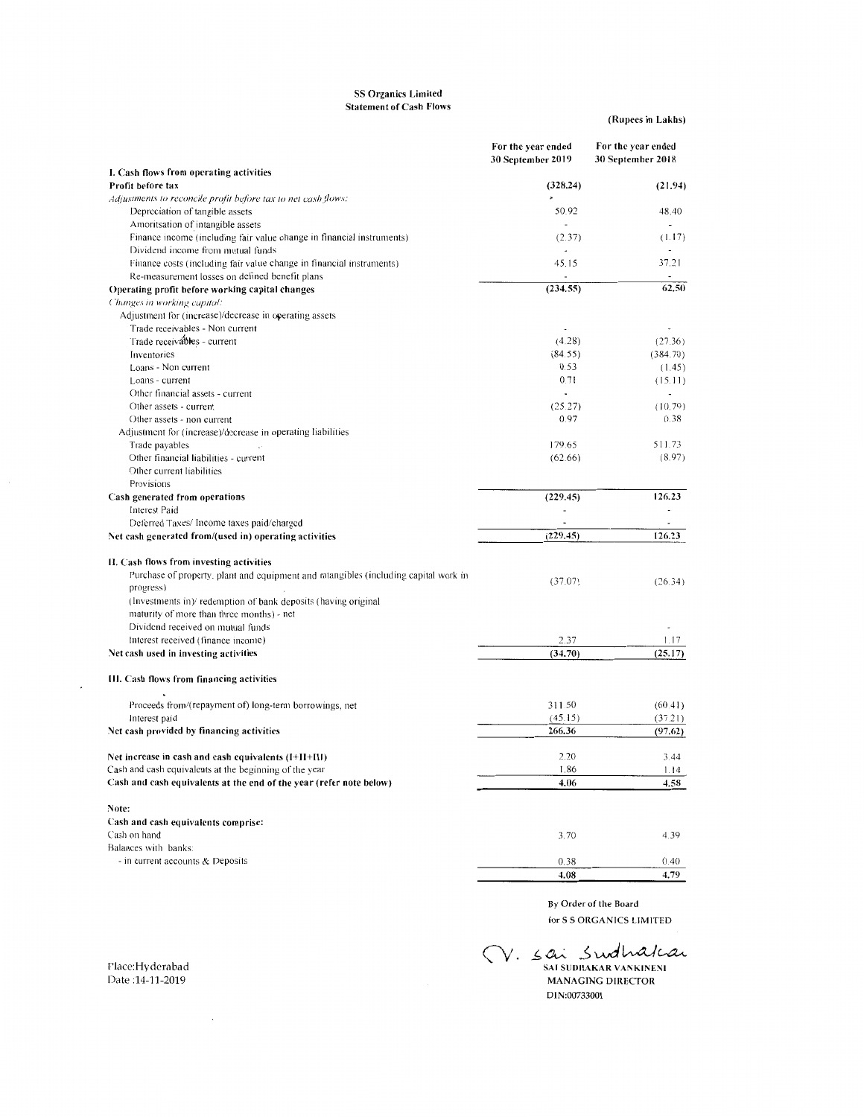## SS Organics Limited Statement of Cash Flows

(Rupees in Lakhs)

|                                                                                                            | For the year ended<br>30 September 2019 | For the year ended<br>30 September 2018 |
|------------------------------------------------------------------------------------------------------------|-----------------------------------------|-----------------------------------------|
| I. Cash flows from operating activities                                                                    |                                         |                                         |
| Profit before tax                                                                                          | (328.24)                                | (21.94)                                 |
| Adjustments to reconcile profit before tax to net cash flows:                                              |                                         |                                         |
| Depreciation of tangible assets                                                                            | 50.92<br>÷                              | 48.40                                   |
| Amoritsation of intangible assets                                                                          |                                         | (1.17)                                  |
| Finance income (including fair value change in financial instruments)<br>Dividend income from mutual funds | (2.37)                                  |                                         |
| Finance costs (including fair value change in financial instruments)                                       | 45.15                                   | 37.21                                   |
| Re-measurement losses on defined benefit plans                                                             |                                         |                                         |
| Operating profit before working capital changes                                                            | (234.55)                                | 62.50                                   |
| Changes in working capital:                                                                                |                                         |                                         |
| Adjustment for (increase)/decrease in operating assets                                                     |                                         |                                         |
| Trade receivables - Non current                                                                            |                                         | $\ddot{\phantom{0}}$                    |
| Trade receivables - current                                                                                | (4.28)                                  | (27.36)                                 |
| Inventories                                                                                                | (84.55)                                 | (384.70)                                |
| Loans - Non current                                                                                        | 0.53                                    | (1.45)                                  |
| Loans - current                                                                                            | 0.71                                    | (15.11)                                 |
| Other financial assets - current                                                                           | ٠                                       | $\overline{\phantom{a}}$                |
| Other assets - current                                                                                     | (25.27)                                 | (10.79)                                 |
| Other assets - non current                                                                                 | 0.97                                    | 0.38                                    |
| Adjustment for (increase)/decrease in operating liabilities                                                |                                         |                                         |
| Trade payables                                                                                             | 179.65                                  | 511.73                                  |
| Other financial liabilities - current                                                                      | (62.66)                                 | (8.97)                                  |
| Other current liabilities                                                                                  |                                         |                                         |
| Provisions                                                                                                 |                                         |                                         |
| Cash generated from operations                                                                             | (229.45)                                | 126.23                                  |
| <b>Interest Paid</b>                                                                                       | ÷                                       |                                         |
| Deferred Taxes/ Income taxes paid/charged                                                                  | $\overline{a}$                          | $\overline{a}$                          |
| Net cash generated from/(used in) operating activities                                                     | (229.45)                                | 126.23                                  |
| II. Cash flows from investing activities                                                                   |                                         |                                         |
| Purchase of property, plant and equipment and intangibles (including capital work in                       |                                         |                                         |
| progress)                                                                                                  | (37.07)                                 | (26.34)                                 |
| (Investments in)/ redemption of bank deposits (having original                                             |                                         |                                         |
| maturity of more than three months) - net                                                                  |                                         |                                         |
| Dividend received on mutual funds                                                                          |                                         |                                         |
| Interest received (finance income)                                                                         | 2.37                                    | 1.17                                    |
| Net cash used in investing activities                                                                      | (34.70)                                 | (25.17)                                 |
|                                                                                                            |                                         |                                         |
| III. Cash flows from financing activities                                                                  |                                         |                                         |
| Proceeds from/(repayment of) long-term borrowings, net                                                     | 311.50                                  | (60.41)                                 |
| Interest paid                                                                                              | (45.15)                                 | (37.21)                                 |
| Net cash provided by financing activities                                                                  | 266.36                                  | (97.62)                                 |
|                                                                                                            |                                         |                                         |
| Net increase in cash and cash equivalents (I+II+III)                                                       | 2.20                                    | 3.44                                    |
| Cash and cash equivalents at the beginning of the year                                                     | 1.86                                    | 1.14                                    |
| Cash and cash equivalents at the end of the year (refer note below)                                        | 4.06                                    | 4.58                                    |
| Note:                                                                                                      |                                         |                                         |
| Cash and cash equivalents comprise:                                                                        |                                         |                                         |
| Cash on hand                                                                                               | 3.70                                    | 4.39                                    |
| Balances with banks:                                                                                       |                                         |                                         |
| - in current accounts & Deposits                                                                           | 0.38                                    | 0.40                                    |
|                                                                                                            | 4.08                                    | 4.79                                    |
|                                                                                                            |                                         |                                         |

By Order of the Board for S S ORGANICS LIMITED

 $\bigvee$ . Sai Swallah **MANAGING DIRECTOR** DIN :00733001

Place:Hyderabad Date :14-11-2019

 $\sim$ 

 $\overline{\phantom{a}}$